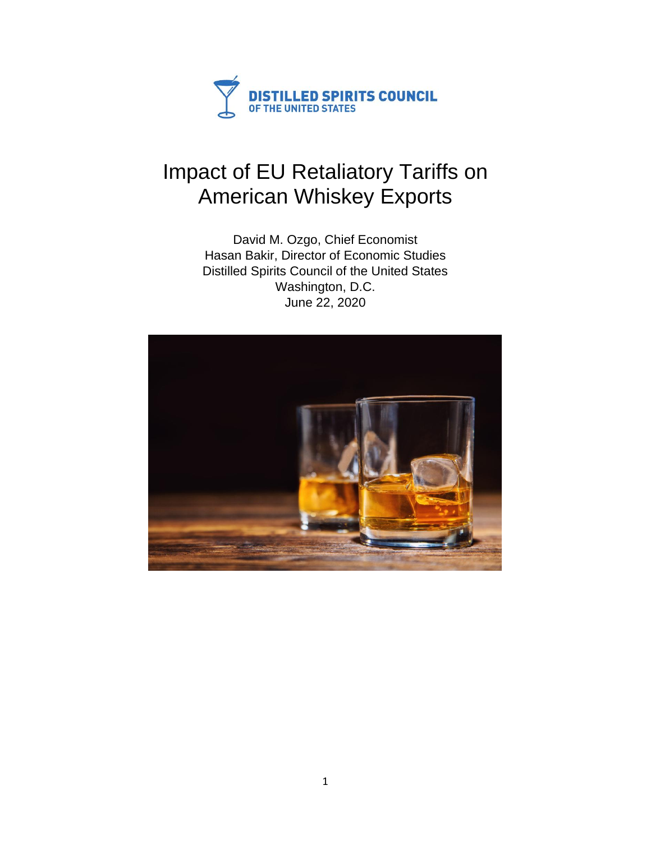

# Impact of EU Retaliatory Tariffs on American Whiskey Exports

David M. Ozgo, Chief Economist Hasan Bakir, Director of Economic Studies Distilled Spirits Council of the United States Washington, D.C. June 22, 2020

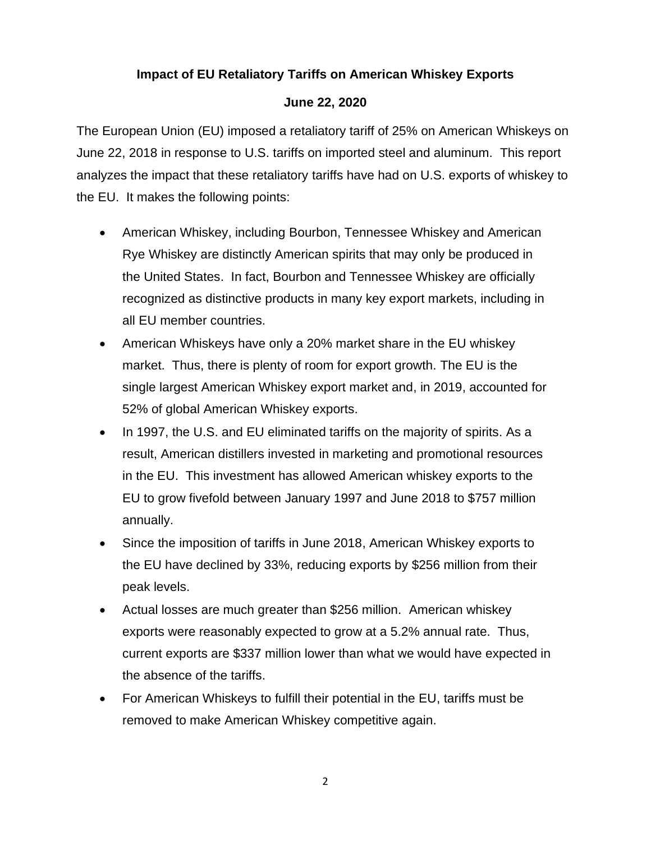## **Impact of EU Retaliatory Tariffs on American Whiskey Exports**

#### **June 22, 2020**

The European Union (EU) imposed a retaliatory tariff of 25% on American Whiskeys on June 22, 2018 in response to U.S. tariffs on imported steel and aluminum. This report analyzes the impact that these retaliatory tariffs have had on U.S. exports of whiskey to the EU. It makes the following points:

- American Whiskey, including Bourbon, Tennessee Whiskey and American Rye Whiskey are distinctly American spirits that may only be produced in the United States. In fact, Bourbon and Tennessee Whiskey are officially recognized as distinctive products in many key export markets, including in all EU member countries.
- American Whiskeys have only a 20% market share in the EU whiskey market. Thus, there is plenty of room for export growth. The EU is the single largest American Whiskey export market and, in 2019, accounted for 52% of global American Whiskey exports.
- In 1997, the U.S. and EU eliminated tariffs on the majority of spirits. As a result, American distillers invested in marketing and promotional resources in the EU. This investment has allowed American whiskey exports to the EU to grow fivefold between January 1997 and June 2018 to \$757 million annually.
- Since the imposition of tariffs in June 2018, American Whiskey exports to the EU have declined by 33%, reducing exports by \$256 million from their peak levels.
- Actual losses are much greater than \$256 million. American whiskey exports were reasonably expected to grow at a 5.2% annual rate. Thus, current exports are \$337 million lower than what we would have expected in the absence of the tariffs.
- For American Whiskeys to fulfill their potential in the EU, tariffs must be removed to make American Whiskey competitive again.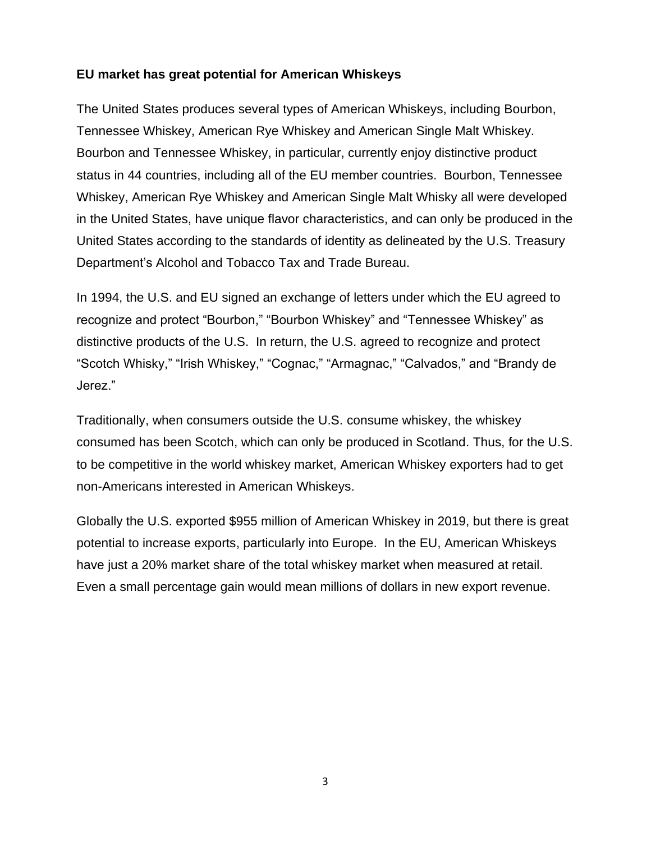### **EU market has great potential for American Whiskeys**

The United States produces several types of American Whiskeys, including Bourbon, Tennessee Whiskey, American Rye Whiskey and American Single Malt Whiskey. Bourbon and Tennessee Whiskey, in particular, currently enjoy distinctive product status in 44 countries, including all of the EU member countries. Bourbon, Tennessee Whiskey, American Rye Whiskey and American Single Malt Whisky all were developed in the United States, have unique flavor characteristics, and can only be produced in the United States according to the standards of identity as delineated by the U.S. Treasury Department's Alcohol and Tobacco Tax and Trade Bureau.

In 1994, the U.S. and EU signed an exchange of letters under which the EU agreed to recognize and protect "Bourbon," "Bourbon Whiskey" and "Tennessee Whiskey" as distinctive products of the U.S. In return, the U.S. agreed to recognize and protect "Scotch Whisky," "Irish Whiskey," "Cognac," "Armagnac," "Calvados," and "Brandy de Jerez."

Traditionally, when consumers outside the U.S. consume whiskey, the whiskey consumed has been Scotch, which can only be produced in Scotland. Thus, for the U.S. to be competitive in the world whiskey market, American Whiskey exporters had to get non-Americans interested in American Whiskeys.

Globally the U.S. exported \$955 million of American Whiskey in 2019, but there is great potential to increase exports, particularly into Europe. In the EU, American Whiskeys have just a 20% market share of the total whiskey market when measured at retail. Even a small percentage gain would mean millions of dollars in new export revenue.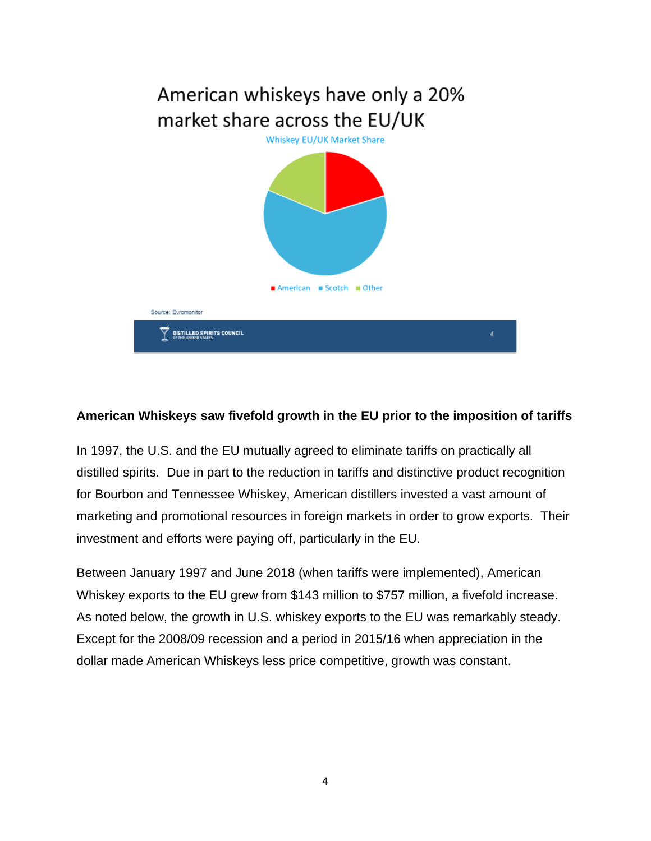

#### **American Whiskeys saw fivefold growth in the EU prior to the imposition of tariffs**

In 1997, the U.S. and the EU mutually agreed to eliminate tariffs on practically all distilled spirits. Due in part to the reduction in tariffs and distinctive product recognition for Bourbon and Tennessee Whiskey, American distillers invested a vast amount of marketing and promotional resources in foreign markets in order to grow exports. Their investment and efforts were paying off, particularly in the EU.

Between January 1997 and June 2018 (when tariffs were implemented), American Whiskey exports to the EU grew from \$143 million to \$757 million, a fivefold increase. As noted below, the growth in U.S. whiskey exports to the EU was remarkably steady. Except for the 2008/09 recession and a period in 2015/16 when appreciation in the dollar made American Whiskeys less price competitive, growth was constant.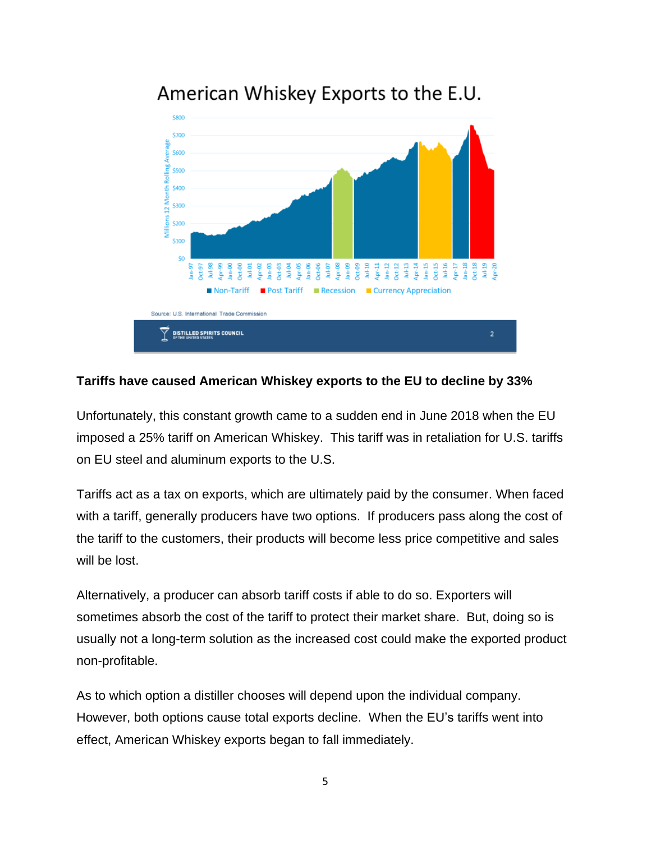

# American Whiskey Exports to the E.U.

#### **Tariffs have caused American Whiskey exports to the EU to decline by 33%**

Unfortunately, this constant growth came to a sudden end in June 2018 when the EU imposed a 25% tariff on American Whiskey. This tariff was in retaliation for U.S. tariffs on EU steel and aluminum exports to the U.S.

Tariffs act as a tax on exports, which are ultimately paid by the consumer. When faced with a tariff, generally producers have two options. If producers pass along the cost of the tariff to the customers, their products will become less price competitive and sales will be lost.

Alternatively, a producer can absorb tariff costs if able to do so. Exporters will sometimes absorb the cost of the tariff to protect their market share. But, doing so is usually not a long-term solution as the increased cost could make the exported product non-profitable.

As to which option a distiller chooses will depend upon the individual company. However, both options cause total exports decline. When the EU's tariffs went into effect, American Whiskey exports began to fall immediately.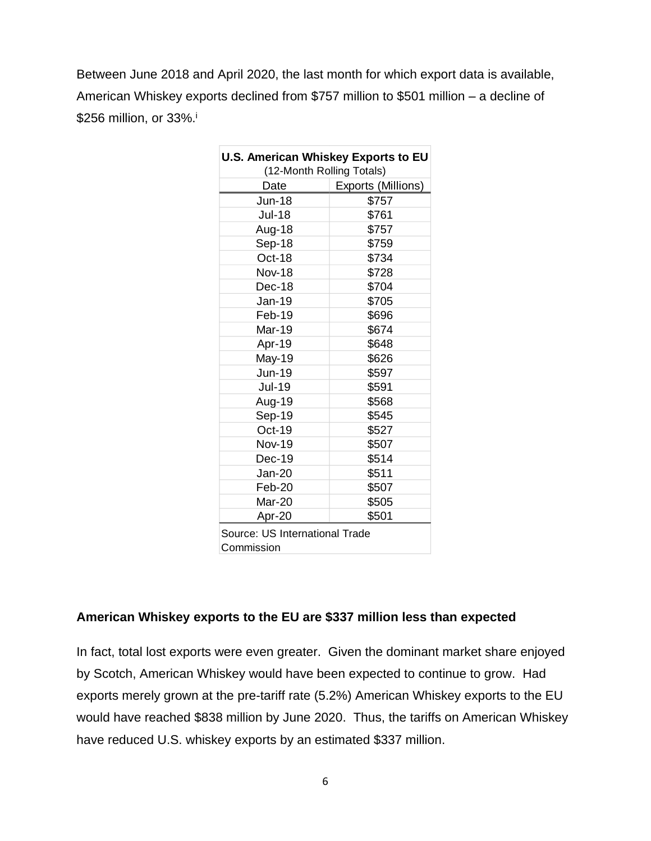Between June 2018 and April 2020, the last month for which export data is available, American Whiskey exports declined from \$757 million to \$501 million – a decline of \$256 million, or 33%.<sup>i</sup>

| <b>U.S. American Whiskey Exports to EU</b> |                    |
|--------------------------------------------|--------------------|
| (12-Month Rolling Totals)                  |                    |
| Date                                       | Exports (Millions) |
| <b>Jun-18</b>                              | \$757              |
| <b>Jul-18</b>                              | \$761              |
| Aug-18                                     | \$757              |
| Sep-18                                     | \$759              |
| Oct-18                                     | \$734              |
| <b>Nov-18</b>                              | \$728              |
| Dec-18                                     | \$704              |
| Jan-19                                     | \$705              |
| Feb-19                                     | \$696              |
| Mar-19                                     | \$674              |
| Apr-19                                     | \$648              |
| May-19                                     | \$626              |
| Jun-19                                     | \$597              |
| <b>Jul-19</b>                              | \$591              |
| Aug-19                                     | \$568              |
| Sep-19                                     | \$545              |
| Oct-19                                     | \$527              |
| <b>Nov-19</b>                              | \$507              |
| Dec-19                                     | \$514              |
| Jan-20                                     | \$511              |
| Feb-20                                     | \$507              |
| Mar-20                                     | \$505              |
| Apr-20                                     | \$501              |
| Source: US International Trade             |                    |
| Commission                                 |                    |

#### **American Whiskey exports to the EU are \$337 million less than expected**

In fact, total lost exports were even greater. Given the dominant market share enjoyed by Scotch, American Whiskey would have been expected to continue to grow. Had exports merely grown at the pre-tariff rate (5.2%) American Whiskey exports to the EU would have reached \$838 million by June 2020. Thus, the tariffs on American Whiskey have reduced U.S. whiskey exports by an estimated \$337 million.